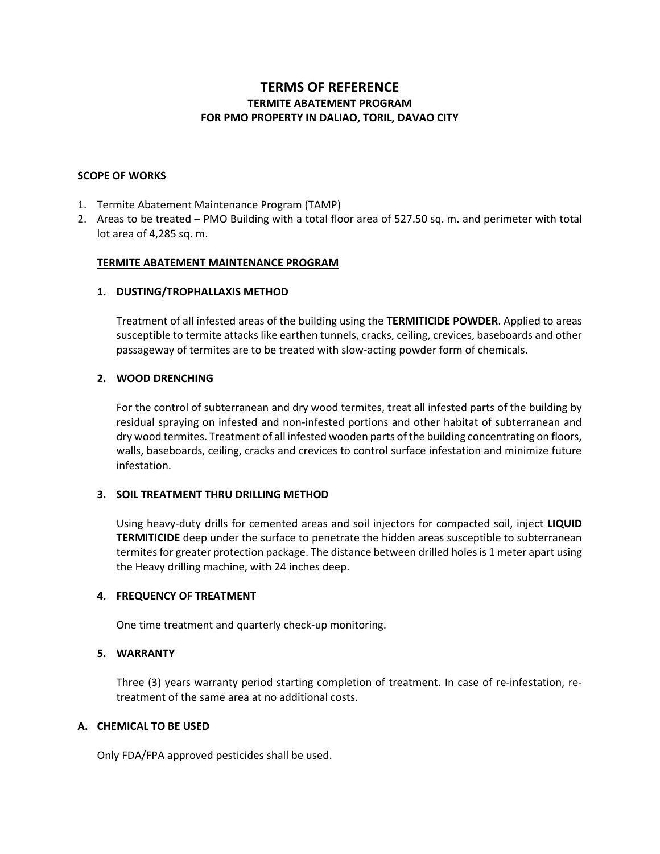# **TERMS OF REFERENCE TERMITE ABATEMENT PROGRAM FOR PMO PROPERTY IN DALIAO, TORIL, DAVAO CITY**

### **SCOPE OF WORKS**

- 1. Termite Abatement Maintenance Program (TAMP)
- 2. Areas to be treated PMO Building with a total floor area of 527.50 sq. m. and perimeter with total lot area of 4,285 sq. m.

### **TERMITE ABATEMENT MAINTENANCE PROGRAM**

### **1. DUSTING/TROPHALLAXIS METHOD**

Treatment of all infested areas of the building using the **TERMITICIDE POWDER**. Applied to areas susceptible to termite attacks like earthen tunnels, cracks, ceiling, crevices, baseboards and other passageway of termites are to be treated with slow-acting powder form of chemicals.

# **2. WOOD DRENCHING**

For the control of subterranean and dry wood termites, treat all infested parts of the building by residual spraying on infested and non-infested portions and other habitat of subterranean and dry wood termites. Treatment of all infested wooden parts of the building concentrating on floors, walls, baseboards, ceiling, cracks and crevices to control surface infestation and minimize future infestation.

# **3. SOIL TREATMENT THRU DRILLING METHOD**

Using heavy-duty drills for cemented areas and soil injectors for compacted soil, inject **LIQUID TERMITICIDE** deep under the surface to penetrate the hidden areas susceptible to subterranean termites for greater protection package. The distance between drilled holes is 1 meter apart using the Heavy drilling machine, with 24 inches deep.

#### **4. FREQUENCY OF TREATMENT**

One time treatment and quarterly check-up monitoring.

# **5. WARRANTY**

Three (3) years warranty period starting completion of treatment. In case of re-infestation, retreatment of the same area at no additional costs.

# **A. CHEMICAL TO BE USED**

Only FDA/FPA approved pesticides shall be used.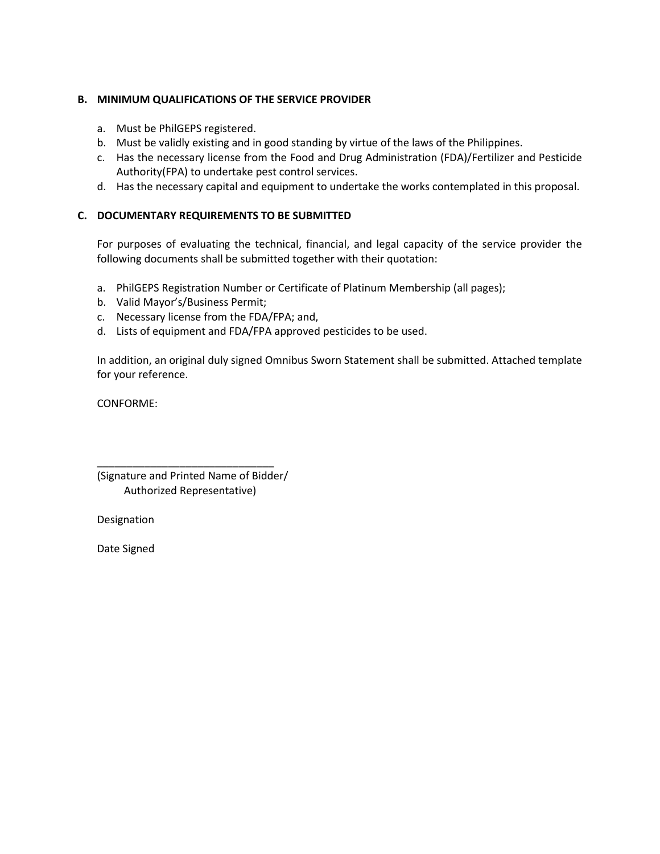# **B. MINIMUM QUALIFICATIONS OF THE SERVICE PROVIDER**

- a. Must be PhilGEPS registered.
- b. Must be validly existing and in good standing by virtue of the laws of the Philippines.
- c. Has the necessary license from the Food and Drug Administration (FDA)/Fertilizer and Pesticide Authority(FPA) to undertake pest control services.
- d. Has the necessary capital and equipment to undertake the works contemplated in this proposal.

### **C. DOCUMENTARY REQUIREMENTS TO BE SUBMITTED**

For purposes of evaluating the technical, financial, and legal capacity of the service provider the following documents shall be submitted together with their quotation:

- a. PhilGEPS Registration Number or Certificate of Platinum Membership (all pages);
- b. Valid Mayor's/Business Permit;
- c. Necessary license from the FDA/FPA; and,
- d. Lists of equipment and FDA/FPA approved pesticides to be used.

In addition, an original duly signed Omnibus Sworn Statement shall be submitted. Attached template for your reference.

CONFORME:

(Signature and Printed Name of Bidder/ Authorized Representative)

\_\_\_\_\_\_\_\_\_\_\_\_\_\_\_\_\_\_\_\_\_\_\_\_\_\_\_\_\_\_

Designation

Date Signed